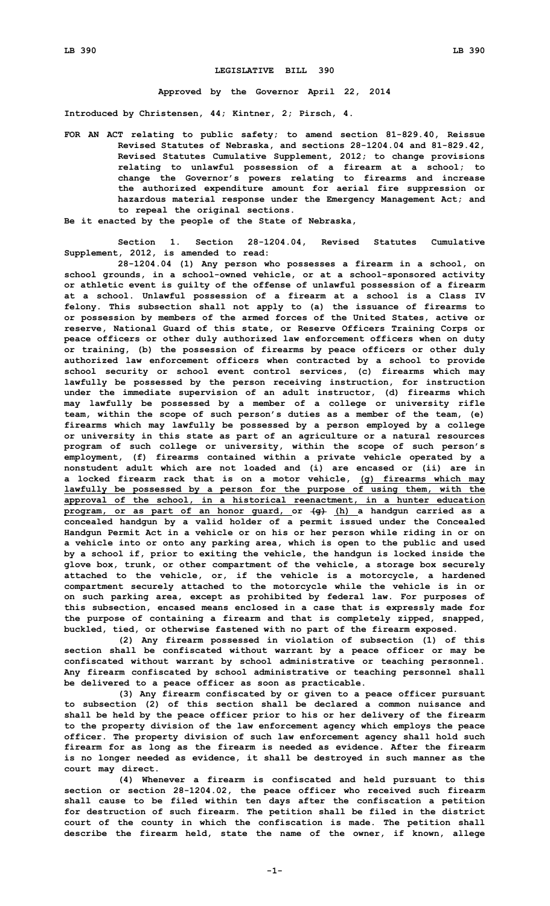## **LEGISLATIVE BILL 390**

**Approved by the Governor April 22, 2014**

**Introduced by Christensen, 44; Kintner, 2; Pirsch, 4.**

- **FOR AN ACT relating to public safety; to amend section 81-829.40, Reissue Revised Statutes of Nebraska, and sections 28-1204.04 and 81-829.42, Revised Statutes Cumulative Supplement, 2012; to change provisions relating to unlawful possession of <sup>a</sup> firearm at <sup>a</sup> school; to change the Governor's powers relating to firearms and increase the authorized expenditure amount for aerial fire suppression or hazardous material response under the Emergency Management Act; and to repeal the original sections.**
- **Be it enacted by the people of the State of Nebraska,**

**Section 1. Section 28-1204.04, Revised Statutes Cumulative Supplement, 2012, is amended to read:**

**28-1204.04 (1) Any person who possesses <sup>a</sup> firearm in <sup>a</sup> school, on school grounds, in <sup>a</sup> school-owned vehicle, or at <sup>a</sup> school-sponsored activity or athletic event is guilty of the offense of unlawful possession of <sup>a</sup> firearm at <sup>a</sup> school. Unlawful possession of <sup>a</sup> firearm at <sup>a</sup> school is <sup>a</sup> Class IV felony. This subsection shall not apply to (a) the issuance of firearms to or possession by members of the armed forces of the United States, active or reserve, National Guard of this state, or Reserve Officers Training Corps or peace officers or other duly authorized law enforcement officers when on duty or training, (b) the possession of firearms by peace officers or other duly authorized law enforcement officers when contracted by <sup>a</sup> school to provide school security or school event control services, (c) firearms which may lawfully be possessed by the person receiving instruction, for instruction under the immediate supervision of an adult instructor, (d) firearms which may lawfully be possessed by <sup>a</sup> member of <sup>a</sup> college or university rifle team, within the scope of such person's duties as <sup>a</sup> member of the team, (e) firearms which may lawfully be possessed by <sup>a</sup> person employed by <sup>a</sup> college or university in this state as part of an agriculture or <sup>a</sup> natural resources program of such college or university, within the scope of such person's employment, (f) firearms contained within <sup>a</sup> private vehicle operated by <sup>a</sup> nonstudent adult which are not loaded and (i) are encased or (ii) are in <sup>a</sup> locked firearm rack that is on <sup>a</sup> motor vehicle, (g) firearms which may lawfully be possessed by <sup>a</sup> person for the purpose of using them, with the approval of the school, in <sup>a</sup> historical reenactment, in <sup>a</sup> hunter education program, or as part of an honor guard, or (g) (h) <sup>a</sup> handgun carried as <sup>a</sup> concealed handgun by <sup>a</sup> valid holder of <sup>a</sup> permit issued under the Concealed Handgun Permit Act in <sup>a</sup> vehicle or on his or her person while riding in or on <sup>a</sup> vehicle into or onto any parking area, which is open to the public and used by <sup>a</sup> school if, prior to exiting the vehicle, the handgun is locked inside the glove box, trunk, or other compartment of the vehicle, <sup>a</sup> storage box securely attached to the vehicle, or, if the vehicle is <sup>a</sup> motorcycle, <sup>a</sup> hardened compartment securely attached to the motorcycle while the vehicle is in or on such parking area, except as prohibited by federal law. For purposes of this subsection, encased means enclosed in <sup>a</sup> case that is expressly made for the purpose of containing <sup>a</sup> firearm and that is completely zipped, snapped, buckled, tied, or otherwise fastened with no part of the firearm exposed.**

**(2) Any firearm possessed in violation of subsection (1) of this section shall be confiscated without warrant by <sup>a</sup> peace officer or may be confiscated without warrant by school administrative or teaching personnel. Any firearm confiscated by school administrative or teaching personnel shall be delivered to <sup>a</sup> peace officer as soon as practicable.**

**(3) Any firearm confiscated by or given to <sup>a</sup> peace officer pursuant to subsection (2) of this section shall be declared <sup>a</sup> common nuisance and shall be held by the peace officer prior to his or her delivery of the firearm to the property division of the law enforcement agency which employs the peace officer. The property division of such law enforcement agency shall hold such firearm for as long as the firearm is needed as evidence. After the firearm is no longer needed as evidence, it shall be destroyed in such manner as the court may direct.**

**(4) Whenever <sup>a</sup> firearm is confiscated and held pursuant to this section or section 28-1204.02, the peace officer who received such firearm shall cause to be filed within ten days after the confiscation <sup>a</sup> petition for destruction of such firearm. The petition shall be filed in the district court of the county in which the confiscation is made. The petition shall describe the firearm held, state the name of the owner, if known, allege**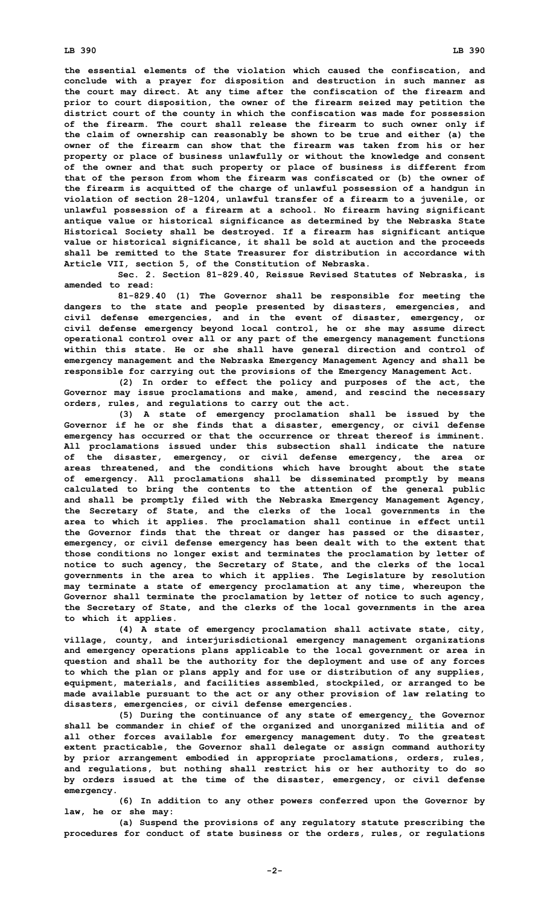**the essential elements of the violation which caused the confiscation, and conclude with <sup>a</sup> prayer for disposition and destruction in such manner as the court may direct. At any time after the confiscation of the firearm and prior to court disposition, the owner of the firearm seized may petition the district court of the county in which the confiscation was made for possession of the firearm. The court shall release the firearm to such owner only if the claim of ownership can reasonably be shown to be true and either (a) the owner of the firearm can show that the firearm was taken from his or her property or place of business unlawfully or without the knowledge and consent of the owner and that such property or place of business is different from that of the person from whom the firearm was confiscated or (b) the owner of the firearm is acquitted of the charge of unlawful possession of <sup>a</sup> handgun in violation of section 28-1204, unlawful transfer of <sup>a</sup> firearm to <sup>a</sup> juvenile, or unlawful possession of <sup>a</sup> firearm at <sup>a</sup> school. No firearm having significant antique value or historical significance as determined by the Nebraska State Historical Society shall be destroyed. If <sup>a</sup> firearm has significant antique value or historical significance, it shall be sold at auction and the proceeds shall be remitted to the State Treasurer for distribution in accordance with Article VII, section 5, of the Constitution of Nebraska.**

**Sec. 2. Section 81-829.40, Reissue Revised Statutes of Nebraska, is amended to read:**

**81-829.40 (1) The Governor shall be responsible for meeting the dangers to the state and people presented by disasters, emergencies, and civil defense emergencies, and in the event of disaster, emergency, or civil defense emergency beyond local control, he or she may assume direct operational control over all or any part of the emergency management functions within this state. He or she shall have general direction and control of emergency management and the Nebraska Emergency Management Agency and shall be responsible for carrying out the provisions of the Emergency Management Act.**

**(2) In order to effect the policy and purposes of the act, the Governor may issue proclamations and make, amend, and rescind the necessary orders, rules, and regulations to carry out the act.**

**(3) <sup>A</sup> state of emergency proclamation shall be issued by the Governor if he or she finds that <sup>a</sup> disaster, emergency, or civil defense emergency has occurred or that the occurrence or threat thereof is imminent. All proclamations issued under this subsection shall indicate the nature of the disaster, emergency, or civil defense emergency, the area or areas threatened, and the conditions which have brought about the state of emergency. All proclamations shall be disseminated promptly by means calculated to bring the contents to the attention of the general public and shall be promptly filed with the Nebraska Emergency Management Agency, the Secretary of State, and the clerks of the local governments in the area to which it applies. The proclamation shall continue in effect until the Governor finds that the threat or danger has passed or the disaster, emergency, or civil defense emergency has been dealt with to the extent that those conditions no longer exist and terminates the proclamation by letter of notice to such agency, the Secretary of State, and the clerks of the local governments in the area to which it applies. The Legislature by resolution may terminate <sup>a</sup> state of emergency proclamation at any time, whereupon the Governor shall terminate the proclamation by letter of notice to such agency, the Secretary of State, and the clerks of the local governments in the area to which it applies.**

**(4) <sup>A</sup> state of emergency proclamation shall activate state, city, village, county, and interjurisdictional emergency management organizations and emergency operations plans applicable to the local government or area in question and shall be the authority for the deployment and use of any forces to which the plan or plans apply and for use or distribution of any supplies, equipment, materials, and facilities assembled, stockpiled, or arranged to be made available pursuant to the act or any other provision of law relating to disasters, emergencies, or civil defense emergencies.**

**(5) During the continuance of any state of emergency, the Governor shall be commander in chief of the organized and unorganized militia and of all other forces available for emergency management duty. To the greatest extent practicable, the Governor shall delegate or assign command authority by prior arrangement embodied in appropriate proclamations, orders, rules, and regulations, but nothing shall restrict his or her authority to do so by orders issued at the time of the disaster, emergency, or civil defense emergency.**

**(6) In addition to any other powers conferred upon the Governor by law, he or she may:**

**(a) Suspend the provisions of any regulatory statute prescribing the procedures for conduct of state business or the orders, rules, or regulations**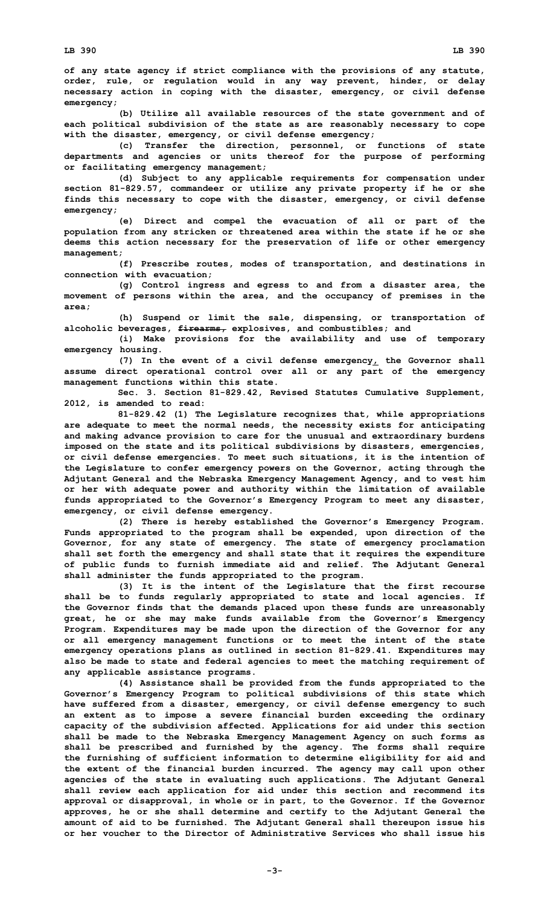**of any state agency if strict compliance with the provisions of any statute, order, rule, or regulation would in any way prevent, hinder, or delay necessary action in coping with the disaster, emergency, or civil defense emergency;**

**(b) Utilize all available resources of the state government and of each political subdivision of the state as are reasonably necessary to cope with the disaster, emergency, or civil defense emergency;**

**(c) Transfer the direction, personnel, or functions of state departments and agencies or units thereof for the purpose of performing or facilitating emergency management;**

**(d) Subject to any applicable requirements for compensation under section 81-829.57, commandeer or utilize any private property if he or she finds this necessary to cope with the disaster, emergency, or civil defense emergency;**

**(e) Direct and compel the evacuation of all or part of the population from any stricken or threatened area within the state if he or she deems this action necessary for the preservation of life or other emergency management;**

**(f) Prescribe routes, modes of transportation, and destinations in connection with evacuation;**

**(g) Control ingress and egress to and from <sup>a</sup> disaster area, the movement of persons within the area, and the occupancy of premises in the area;**

**(h) Suspend or limit the sale, dispensing, or transportation of alcoholic beverages, firearms, explosives, and combustibles; and**

**(i) Make provisions for the availability and use of temporary emergency housing.**

**(7) In the event of <sup>a</sup> civil defense emergency, the Governor shall assume direct operational control over all or any part of the emergency management functions within this state.**

**Sec. 3. Section 81-829.42, Revised Statutes Cumulative Supplement, 2012, is amended to read:**

**81-829.42 (1) The Legislature recognizes that, while appropriations are adequate to meet the normal needs, the necessity exists for anticipating and making advance provision to care for the unusual and extraordinary burdens imposed on the state and its political subdivisions by disasters, emergencies, or civil defense emergencies. To meet such situations, it is the intention of the Legislature to confer emergency powers on the Governor, acting through the Adjutant General and the Nebraska Emergency Management Agency, and to vest him or her with adequate power and authority within the limitation of available funds appropriated to the Governor's Emergency Program to meet any disaster, emergency, or civil defense emergency.**

**(2) There is hereby established the Governor's Emergency Program. Funds appropriated to the program shall be expended, upon direction of the Governor, for any state of emergency. The state of emergency proclamation shall set forth the emergency and shall state that it requires the expenditure of public funds to furnish immediate aid and relief. The Adjutant General shall administer the funds appropriated to the program.**

**(3) It is the intent of the Legislature that the first recourse shall be to funds regularly appropriated to state and local agencies. If the Governor finds that the demands placed upon these funds are unreasonably great, he or she may make funds available from the Governor's Emergency Program. Expenditures may be made upon the direction of the Governor for any or all emergency management functions or to meet the intent of the state emergency operations plans as outlined in section 81-829.41. Expenditures may also be made to state and federal agencies to meet the matching requirement of any applicable assistance programs.**

**(4) Assistance shall be provided from the funds appropriated to the Governor's Emergency Program to political subdivisions of this state which have suffered from <sup>a</sup> disaster, emergency, or civil defense emergency to such an extent as to impose <sup>a</sup> severe financial burden exceeding the ordinary capacity of the subdivision affected. Applications for aid under this section shall be made to the Nebraska Emergency Management Agency on such forms as shall be prescribed and furnished by the agency. The forms shall require the furnishing of sufficient information to determine eligibility for aid and the extent of the financial burden incurred. The agency may call upon other agencies of the state in evaluating such applications. The Adjutant General shall review each application for aid under this section and recommend its approval or disapproval, in whole or in part, to the Governor. If the Governor approves, he or she shall determine and certify to the Adjutant General the amount of aid to be furnished. The Adjutant General shall thereupon issue his or her voucher to the Director of Administrative Services who shall issue his**